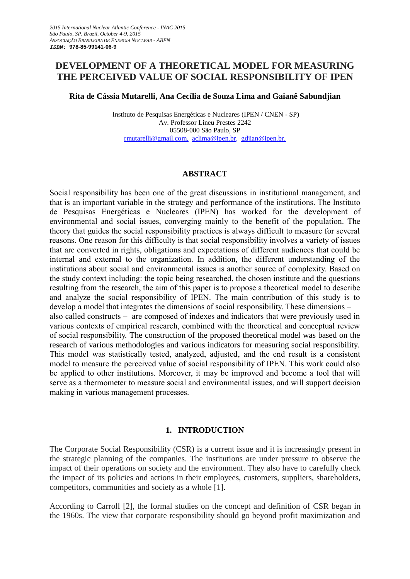# **DEVELOPMENT OF A THEORETICAL MODEL FOR MEASURING THE PERCEIVED VALUE OF SOCIAL RESPONSIBILITY OF IPEN**

**Rita de Cássia Mutarelli, Ana Cecília de Souza Lima and Gaianê Sabundjian**

Instituto de Pesquisas Energéticas e Nucleares (IPEN / CNEN - SP) Av. Professor Lineu Prestes 2242 05508-000 São Paulo, SP [rmutarelli@gmail.com,](mailto:lgasilva@ipen.br) [aclima@ipen.br,](mailto:aclima@ipen.br) gdjian@ipen.br,

#### **ABSTRACT**

Social responsibility has been one of the great discussions in institutional management, and that is an important variable in the strategy and performance of the institutions. The Instituto de Pesquisas Energéticas e Nucleares (IPEN) has worked for the development of environmental and social issues, converging mainly to the benefit of the population. The theory that guides the social responsibility practices is always difficult to measure for several reasons. One reason for this difficulty is that social responsibility involves a variety of issues that are converted in rights, obligations and expectations of different audiences that could be internal and external to the organization. In addition, the different understanding of the institutions about social and environmental issues is another source of complexity. Based on the study context including: the topic being researched, the chosen institute and the questions resulting from the research, the aim of this paper is to propose a theoretical model to describe and analyze the social responsibility of IPEN. The main contribution of this study is to develop a model that integrates the dimensions of social responsibility. These dimensions – also called constructs – are composed of indexes and indicators that were previously used in various contexts of empirical research, combined with the theoretical and conceptual review of social responsibility. The construction of the proposed theoretical model was based on the research of various methodologies and various indicators for measuring social responsibility. This model was statistically tested, analyzed, adjusted, and the end result is a consistent model to measure the perceived value of social responsibility of IPEN. This work could also be applied to other institutions. Moreover, it may be improved and become a tool that will serve as a thermometer to measure social and environmental issues, and will support decision making in various management processes.

#### **1. INTRODUCTION**

The Corporate Social Responsibility (CSR) is a current issue and it is increasingly present in the strategic planning of the companies. The institutions are under pressure to observe the impact of their operations on society and the environment. They also have to carefully check the impact of its policies and actions in their employees, customers, suppliers, shareholders, competitors, communities and society as a whole [1].

According to Carroll [2], the formal studies on the concept and definition of CSR began in the 1960s. The view that corporate responsibility should go beyond profit maximization and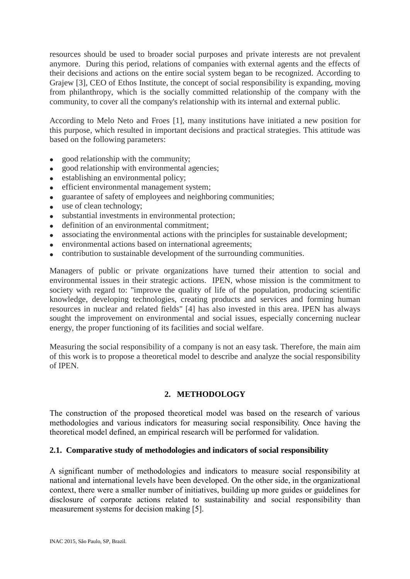resources should be used to broader social purposes and private interests are not prevalent anymore. During this period, relations of companies with external agents and the effects of their decisions and actions on the entire social system began to be recognized. According to Grajew [3], CEO of Ethos Institute, the concept of social responsibility is expanding, moving from philanthropy, which is the socially committed relationship of the company with the community, to cover all the company's relationship with its internal and external public.

According to Melo Neto and Froes [1], many institutions have initiated a new position for this purpose, which resulted in important decisions and practical strategies. This attitude was based on the following parameters:

- good relationship with the community;
- good relationship with environmental agencies;
- **e** establishing an environmental policy:
- efficient environmental management system;
- guarantee of safety of employees and neighboring communities;
- use of clean technology;
- substantial investments in environmental protection;
- definition of an environmental commitment;
- associating the environmental actions with the principles for sustainable development;
- environmental actions based on international agreements;
- contribution to sustainable development of the surrounding communities.

Managers of public or private organizations have turned their attention to social and environmental issues in their strategic actions. IPEN, whose mission is the commitment to society with regard to: "improve the quality of life of the population, producing scientific knowledge, developing technologies, creating products and services and forming human resources in nuclear and related fields" [4] has also invested in this area. IPEN has always sought the improvement on environmental and social issues, especially concerning nuclear energy, the proper functioning of its facilities and social welfare.

Measuring the social responsibility of a company is not an easy task. Therefore, the main aim of this work is to propose a theoretical model to describe and analyze the social responsibility of IPEN.

## **2. METHODOLOGY**

The construction of the proposed theoretical model was based on the research of various methodologies and various indicators for measuring social responsibility. Once having the theoretical model defined, an empirical research will be performed for validation.

#### **2.1. Comparative study of methodologies and indicators of social responsibility**

A significant number of methodologies and indicators to measure social responsibility at national and international levels have been developed. On the other side, in the organizational context, there were a smaller number of initiatives, building up more guides or guidelines for disclosure of corporate actions related to sustainability and social responsibility than measurement systems for decision making [5].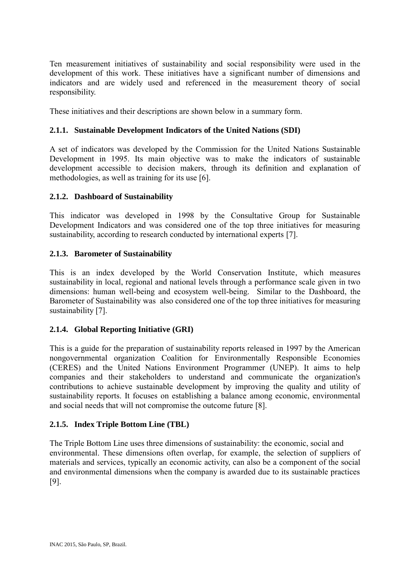Ten measurement initiatives of sustainability and social responsibility were used in the development of this work. These initiatives have a significant number of dimensions and indicators and are widely used and referenced in the measurement theory of social responsibility.

These initiatives and their descriptions are shown below in a summary form.

# **2.1.1. Sustainable Development Indicators of the United Nations (SDI)**

A set of indicators was developed by the Commission for the United Nations Sustainable Development in 1995. Its main objective was to make the indicators of sustainable development accessible to decision makers, through its definition and explanation of methodologies, as well as training for its use [6].

# **2.1.2. Dashboard of Sustainability**

This indicator was developed in 1998 by the Consultative Group for Sustainable Development Indicators and was considered one of the top three initiatives for measuring sustainability, according to research conducted by international experts [7].

# **2.1.3. Barometer of Sustainability**

This is an index developed by the World Conservation Institute, which measures sustainability in local, regional and national levels through a performance scale given in two dimensions: human well-being and ecosystem well-being. Similar to the Dashboard, the Barometer of Sustainability was also considered one of the top three initiatives for measuring sustainability [7].

## **2.1.4. Global Reporting Initiative (GRI)**

This is a guide for the preparation of sustainability reports released in 1997 by the American nongovernmental organization Coalition for Environmentally Responsible Economies (CERES) and the United Nations Environment Programmer (UNEP). It aims to help companies and their stakeholders to understand and communicate the organization's contributions to achieve sustainable development by improving the quality and utility of sustainability reports. It focuses on establishing a balance among economic, environmental and social needs that will not compromise the outcome future [8].

## **2.1.5. Index Triple Bottom Line (TBL)**

The Triple Bottom Line uses three dimensions of sustainability: the economic, social and environmental. These dimensions often overlap, for example, the selection of suppliers of materials and services, typically an economic activity, can also be a component of the social and environmental dimensions when the company is awarded due to its sustainable practices [9].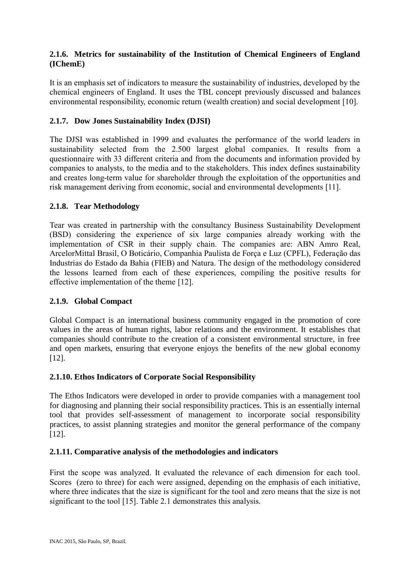## **2.1.6. Metrics for sustainability of the Institution of Chemical Engineers of England (IChemE)**

It is an emphasis set of indicators to measure the sustainability of industries, developed by the chemical engineers of England. It uses the TBL concept previously discussed and balances environmental responsibility, economic return (wealth creation) and social development [10].

## **2.1.7. Dow Jones Sustainability Index (DJSI)**

The DJSI was established in 1999 and evaluates the performance of the world leaders in sustainability selected from the 2.500 largest global companies. It results from a questionnaire with 33 different criteria and from the documents and information provided by companies to analysts, to the media and to the stakeholders. This index defines sustainability and creates long-term value for shareholder through the exploitation of the opportunities and risk management deriving from economic, social and environmental developments [11].

## **2.1.8. Tear Methodology**

Tear was created in partnership with the consultancy Business Sustainability Development (BSD) considering the experience of six large companies already working with the implementation of CSR in their supply chain. The companies are: ABN Amro Real, ArcelorMittal Brasil, O Boticário, Companhia Paulista de Força e Luz (CPFL), Federação das Industrias do Estado da Bahia (FIEB) and Natura. The design of the methodology considered the lessons learned from each of these experiences, compiling the positive results for effective implementation of the theme [12].

## **2.1.9. Global Compact**

Global Compact is an international business community engaged in the promotion of core values in the areas of human rights, labor relations and the environment. It establishes that companies should contribute to the creation of a consistent environmental structure, in free and open markets, ensuring that everyone enjoys the benefits of the new global economy [12].

## **2.1.10. Ethos Indicators of Corporate Social Responsibility**

The Ethos Indicators were developed in order to provide companies with a management tool for diagnosing and planning their social responsibility practices. This is an essentially internal tool that provides self-assessment of management to incorporate social responsibility practices, to assist planning strategies and monitor the general performance of the company [12].

## **2.1.11. Comparative analysis of the methodologies and indicators**

First the scope was analyzed. It evaluated the relevance of each dimension for each tool. Scores (zero to three) for each were assigned, depending on the emphasis of each initiative, where three indicates that the size is significant for the tool and zero means that the size is not significant to the tool [15]. Table 2.1 demonstrates this analysis.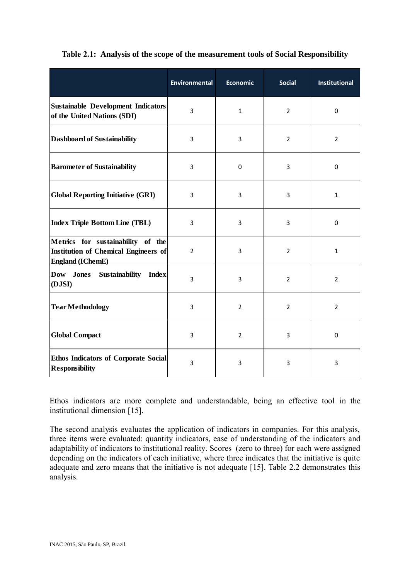|                                                                                                             | <b>Environmental</b> | <b>Economic</b> | <b>Social</b>  | <b>Institutional</b> |
|-------------------------------------------------------------------------------------------------------------|----------------------|-----------------|----------------|----------------------|
| <b>Sustainable Development Indicators</b><br>of the United Nations (SDI)                                    | 3                    | $\mathbf{1}$    | $\overline{2}$ | $\mathbf 0$          |
| <b>Dashboard of Sustainability</b>                                                                          | $\overline{3}$       | 3               | $\overline{2}$ | $\overline{2}$       |
| <b>Barometer of Sustainability</b>                                                                          | 3                    | $\mathbf 0$     | 3              | $\mathbf 0$          |
| <b>Global Reporting Initiative (GRI)</b>                                                                    | 3                    | 3               | 3              | $\mathbf{1}$         |
| <b>Index Triple Bottom Line (TBL)</b>                                                                       | 3                    | 3               | 3              | $\mathbf 0$          |
| Metrics for sustainability of the<br><b>Institution of Chemical Engineers of</b><br><b>England (IChemE)</b> | $\overline{2}$       | 3               | $\overline{2}$ | $\mathbf{1}$         |
| <b>Sustainability</b><br><b>Dow</b><br>Jones<br><b>Index</b><br>(DJSI)                                      | 3                    | 3               | $\overline{2}$ | $\overline{2}$       |
| <b>Tear Methodology</b>                                                                                     | 3                    | $\overline{2}$  | $\overline{2}$ | $\overline{2}$       |
| <b>Global Compact</b>                                                                                       | 3                    | $\overline{2}$  | 3              | 0                    |
| <b>Ethos Indicators of Corporate Social</b><br><b>Responsibility</b>                                        | 3                    | 3               | 3              | 3                    |

## **Table 2.1: Analysis of the scope of the measurement tools of Social Responsibility**

Ethos indicators are more complete and understandable, being an effective tool in the institutional dimension [15].

The second analysis evaluates the application of indicators in companies. For this analysis, three items were evaluated: quantity indicators, ease of understanding of the indicators and adaptability of indicators to institutional reality. Scores (zero to three) for each were assigned depending on the indicators of each initiative, where three indicates that the initiative is quite adequate and zero means that the initiative is not adequate [15]. Table 2.2 demonstrates this analysis.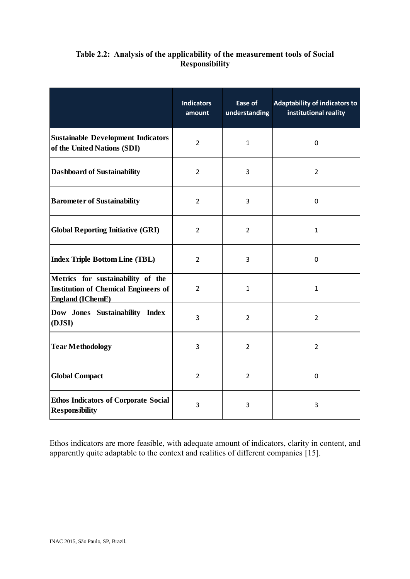| Table 2.2: Analysis of the applicability of the measurement tools of Social |
|-----------------------------------------------------------------------------|
| <b>Responsibility</b>                                                       |

|                                                                                                             | <b>Indicators</b><br>amount | Ease of<br>understanding | <b>Adaptability of indicators to</b><br>institutional reality |
|-------------------------------------------------------------------------------------------------------------|-----------------------------|--------------------------|---------------------------------------------------------------|
| <b>Sustainable Development Indicators</b><br>of the United Nations (SDI)                                    | $\overline{2}$              | $\mathbf{1}$             | $\mathbf 0$                                                   |
| <b>Dashboard of Sustainability</b>                                                                          | $\overline{2}$              | 3                        | $\overline{2}$                                                |
| <b>Barometer of Sustainability</b>                                                                          | $\overline{2}$              | 3                        | $\mathbf 0$                                                   |
| <b>Global Reporting Initiative (GRI)</b>                                                                    | $\overline{2}$              | $\overline{2}$           | $\mathbf{1}$                                                  |
| <b>Index Triple Bottom Line (TBL)</b>                                                                       | 2                           | 3                        | $\mathbf 0$                                                   |
| Metrics for sustainability of the<br><b>Institution of Chemical Engineers of</b><br><b>England</b> (IChemE) | $\overline{2}$              | $\mathbf{1}$             | $\mathbf{1}$                                                  |
| Dow Jones Sustainability Index<br>(DJSI)                                                                    | 3                           | $\overline{2}$           | $\overline{2}$                                                |
| <b>Tear Methodology</b>                                                                                     | 3                           | $\overline{2}$           | $\overline{2}$                                                |
| <b>Global Compact</b>                                                                                       | $\overline{2}$              | $\overline{2}$           | 0                                                             |
| <b>Ethos Indicators of Corporate Social</b><br><b>Responsibility</b>                                        | 3                           | 3                        | 3                                                             |

Ethos indicators are more feasible, with adequate amount of indicators, clarity in content, and apparently quite adaptable to the context and realities of different companies [15].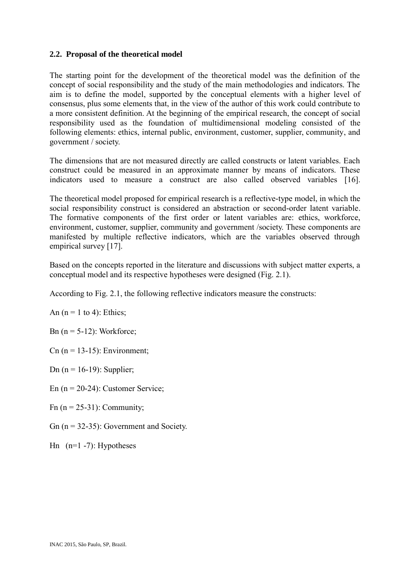#### **2.2. Proposal of the theoretical model**

The starting point for the development of the theoretical model was the definition of the concept of social responsibility and the study of the main methodologies and indicators. The aim is to define the model, supported by the conceptual elements with a higher level of consensus, plus some elements that, in the view of the author of this work could contribute to a more consistent definition. At the beginning of the empirical research, the concept of social responsibility used as the foundation of multidimensional modeling consisted of the following elements: ethics, internal public, environment, customer, supplier, community, and government / society.

The dimensions that are not measured directly are called constructs or latent variables. Each construct could be measured in an approximate manner by means of indicators. These indicators used to measure a construct are also called observed variables [16].

The theoretical model proposed for empirical research is a reflective-type model, in which the social responsibility construct is considered an abstraction or second-order latent variable. The formative components of the first order or latent variables are: ethics, workforce, environment, customer, supplier, community and government /society. These components are manifested by multiple reflective indicators, which are the variables observed through empirical survey [17].

Based on the concepts reported in the literature and discussions with subject matter experts, a conceptual model and its respective hypotheses were designed (Fig. 2.1).

According to Fig. 2.1, the following reflective indicators measure the constructs:

An  $(n = 1$  to 4): Ethics;

Bn  $(n = 5-12)$ : Workforce;

 $Cn$  (n = 13-15): Environment;

Dn ( $n = 16-19$ ): Supplier;

En  $(n = 20-24)$ : Customer Service;

Fn  $(n = 25-31)$ : Community;

Gn  $(n = 32-35)$ : Government and Society.

Hn  $(n=1 - 7)$ : Hypotheses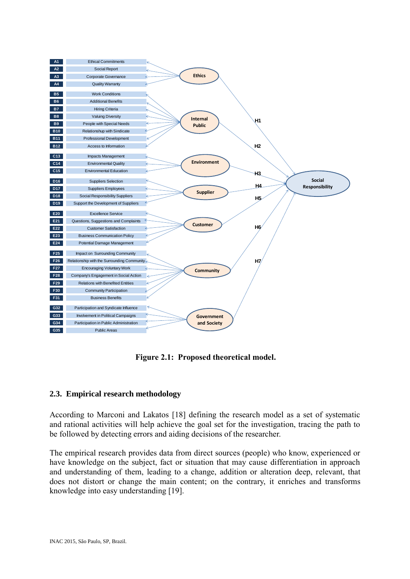

**Figure 2.1: Proposed theoretical model.**

## **2.3. Empirical research methodology**

According to Marconi and Lakatos [18] defining the research model as a set of systematic and rational activities will help achieve the goal set for the investigation, tracing the path to be followed by detecting errors and aiding decisions of the researcher.

The empirical research provides data from direct sources (people) who know, experienced or have knowledge on the subject, fact or situation that may cause differentiation in approach and understanding of them, leading to a change, addition or alteration deep, relevant, that does not distort or change the main content; on the contrary, it enriches and transforms knowledge into easy understanding [19].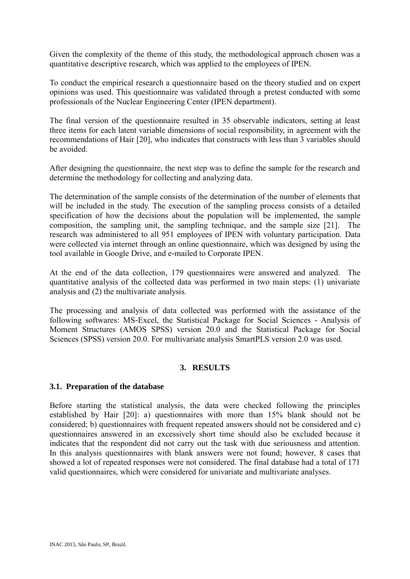Given the complexity of the theme of this study, the methodological approach chosen was a quantitative descriptive research, which was applied to the employees of IPEN.

To conduct the empirical research a questionnaire based on the theory studied and on expert opinions was used. This questionnaire was validated through a pretest conducted with some professionals of the Nuclear Engineering Center (IPEN department).

The final version of the questionnaire resulted in 35 observable indicators, setting at least three items for each latent variable dimensions of social responsibility, in agreement with the recommendations of Hair [20], who indicates that constructs with less than 3 variables should be avoided.

After designing the questionnaire, the next step was to define the sample for the research and determine the methodology for collecting and analyzing data.

The determination of the sample consists of the determination of the number of elements that will be included in the study. The execution of the sampling process consists of a detailed specification of how the decisions about the population will be implemented, the sample composition, the sampling unit, the sampling technique, and the sample size [21]. The research was administered to all 951 employees of IPEN with voluntary participation. Data were collected via internet through an online questionnaire, which was designed by using the tool available in Google Drive, and e-mailed to Corporate IPEN.

At the end of the data collection, 179 questionnaires were answered and analyzed. The quantitative analysis of the collected data was performed in two main steps: (1) univariate analysis and (2) the multivariate analysis.

The processing and analysis of data collected was performed with the assistance of the following softwares: MS-Excel, the Statistical Package for Social Sciences - Analysis of Moment Structures (AMOS SPSS) version 20.0 and the Statistical Package for Social Sciences (SPSS) version 20.0. For multivariate analysis SmartPLS version 2.0 was used.

## **3. RESULTS**

#### **3.1. Preparation of the database**

Before starting the statistical analysis, the data were checked following the principles established by Hair [20]: a) questionnaires with more than 15% blank should not be considered; b) questionnaires with frequent repeated answers should not be considered and c) questionnaires answered in an excessively short time should also be excluded because it indicates that the respondent did not carry out the task with due seriousness and attention. In this analysis questionnaires with blank answers were not found; however, 8 cases that showed a lot of repeated responses were not considered. The final database had a total of 171 valid questionnaires, which were considered for univariate and multivariate analyses.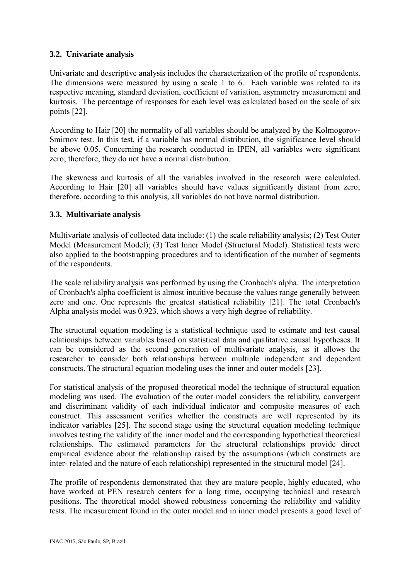## **3.2. Univariate analysis**

Univariate and descriptive analysis includes the characterization of the profile of respondents. The dimensions were measured by using a scale 1 to 6. Each variable was related to its respective meaning, standard deviation, coefficient of variation, asymmetry measurement and kurtosis. The percentage of responses for each level was calculated based on the scale of six points [22].

According to Hair [20] the normality of all variables should be analyzed by the Kolmogorov-Smirnov test. In this test, if a variable has normal distribution, the significance level should be above 0.05. Concerning the research conducted in IPEN, all variables were significant zero; therefore, they do not have a normal distribution.

The skewness and kurtosis of all the variables involved in the research were calculated. According to Hair [20] all variables should have values significantly distant from zero; therefore, according to this analysis, all variables do not have normal distribution.

#### **3.3. Multivariate analysis**

Multivariate analysis of collected data include: (1) the scale reliability analysis; (2) Test Outer Model (Measurement Model); (3) Test Inner Model (Structural Model). Statistical tests were also applied to the bootstrapping procedures and to identification of the number of segments of the respondents.

The scale reliability analysis was performed by using the Cronbach's alpha. The interpretation of Cronbach's alpha coefficient is almost intuitive because the values range generally between zero and one. One represents the greatest statistical reliability [21]. The total Cronbach's Alpha analysis model was 0.923, which shows a very high degree of reliability.

The structural equation modeling is a statistical technique used to estimate and test causal relationships between variables based on statistical data and qualitative causal hypotheses. It can be considered as the second generation of multivariate analysis, as it allows the researcher to consider both relationships between multiple independent and dependent constructs. The structural equation modeling uses the inner and outer models [23].

For statistical analysis of the proposed theoretical model the technique of structural equation modeling was used. The evaluation of the outer model considers the reliability, convergent and discriminant validity of each individual indicator and composite measures of each construct. This assessment verifies whether the constructs are well represented by its indicator variables [25]. The second stage using the structural equation modeling technique involves testing the validity of the inner model and the corresponding hypothetical theoretical relationships. The estimated parameters for the structural relationships provide direct empirical evidence about the relationship raised by the assumptions (which constructs are inter- related and the nature of each relationship) represented in the structural model [24].

The profile of respondents demonstrated that they are mature people, highly educated, who have worked at PEN research centers for a long time, occupying technical and research positions. The theoretical model showed robustness concerning the reliability and validity tests. The measurement found in the outer model and in inner model presents a good level of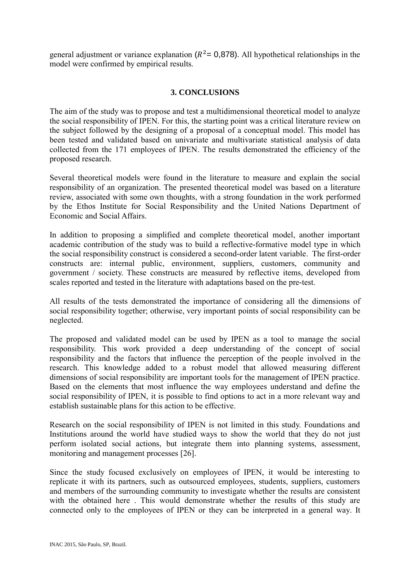general adjustment or variance explanation ( $R^2$  = 0,878). All hypothetical relationships in the model were confirmed by empirical results.

#### **3. CONCLUSIONS**

The aim of the study was to propose and test a multidimensional theoretical model to analyze the social responsibility of IPEN. For this, the starting point was a critical literature review on the subject followed by the designing of a proposal of a conceptual model. This model has been tested and validated based on univariate and multivariate statistical analysis of data collected from the 171 employees of IPEN. The results demonstrated the efficiency of the proposed research.

Several theoretical models were found in the literature to measure and explain the social responsibility of an organization. The presented theoretical model was based on a literature review, associated with some own thoughts, with a strong foundation in the work performed by the Ethos Institute for Social Responsibility and the United Nations Department of Economic and Social Affairs.

In addition to proposing a simplified and complete theoretical model, another important academic contribution of the study was to build a reflective-formative model type in which the social responsibility construct is considered a second-order latent variable. The first-order constructs are: internal public, environment, suppliers, customers, community and government / society. These constructs are measured by reflective items, developed from scales reported and tested in the literature with adaptations based on the pre-test.

All results of the tests demonstrated the importance of considering all the dimensions of social responsibility together; otherwise, very important points of social responsibility can be neglected.

The proposed and validated model can be used by IPEN as a tool to manage the social responsibility. This work provided a deep understanding of the concept of social responsibility and the factors that influence the perception of the people involved in the research. This knowledge added to a robust model that allowed measuring different dimensions of social responsibility are important tools for the management of IPEN practice. Based on the elements that most influence the way employees understand and define the social responsibility of IPEN, it is possible to find options to act in a more relevant way and establish sustainable plans for this action to be effective.

Research on the social responsibility of IPEN is not limited in this study. Foundations and Institutions around the world have studied ways to show the world that they do not just perform isolated social actions, but integrate them into planning systems, assessment, monitoring and management processes [26].

Since the study focused exclusively on employees of IPEN, it would be interesting to replicate it with its partners, such as outsourced employees, students, suppliers, customers and members of the surrounding community to investigate whether the results are consistent with the obtained here. This would demonstrate whether the results of this study are connected only to the employees of IPEN or they can be interpreted in a general way. It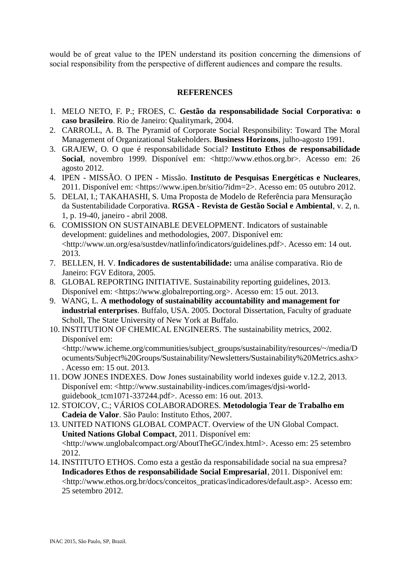would be of great value to the IPEN understand its position concerning the dimensions of social responsibility from the perspective of different audiences and compare the results.

#### **REFERENCES**

- 1. MELO NETO, F. P.; FROES, C. **Gestão da responsabilidade Social Corporativa: o caso brasileiro**. Rio de Janeiro: Qualitymark, 2004.
- 2. CARROLL, A. B. The Pyramid of Corporate Social Responsibility: Toward The Moral Management of Organizational Stakeholders. **Business Horizons**, julho-agosto 1991.
- 3. GRAJEW, O. O que é responsabilidade Social? **Instituto Ethos de responsabilidade Social**, novembro 1999. Disponível em: <http://www.ethos.org.br>. Acesso em: 26 agosto 2012.
- 4. IPEN MISSÃO. O IPEN Missão. **Instituto de Pesquisas Energéticas e Nucleares**, 2011. Disponível em: <https://www.ipen.br/sitio/?idm=2>. Acesso em: 05 outubro 2012.
- 5. DELAI, I.; TAKAHASHI, S. Uma Proposta de Modelo de Referência para Mensuração da Sustentabilidade Corporativa. **RGSA - Revista de Gestão Social e Ambiental**, v. 2, n. 1, p. 19-40, janeiro - abril 2008.
- 6. COMISSION ON SUSTAINABLE DEVELOPMENT. Indicators of sustainable development: guidelines and methodologies, 2007. Disponível em: <http://www.un.org/esa/sustdev/natlinfo/indicators/guidelines.pdf>. Acesso em: 14 out. 2013.
- 7. BELLEN, H. V. **Indicadores de sustentabilidade:** uma análise comparativa. Rio de Janeiro: FGV Editora, 2005.
- 8. GLOBAL REPORTING INITIATIVE. Sustainability reporting guidelines, 2013. Disponível em: <https://www.globalreporting.org>. Acesso em: 15 out. 2013.
- 9. WANG, L. **A methodology of sustainability accountability and management for industrial enterprises**. Buffalo, USA. 2005. Doctoral Dissertation, Faculty of graduate Scholl, The State University of New York at Buffalo.
- 10. INSTITUTION OF CHEMICAL ENGINEERS. The sustainability metrics, 2002. Disponível em:

<http://www.icheme.org/communities/subject\_groups/sustainability/resources/~/media/D ocuments/Subject%20Groups/Sustainability/Newsletters/Sustainability%20Metrics.ashx> . Acesso em: 15 out. 2013.

- 11. DOW JONES INDEXES. Dow Jones sustainability world indexes guide v.12.2, 2013. Disponível em: <http://www.sustainability-indices.com/images/djsi-worldguidebook\_tcm1071-337244.pdf>. Acesso em: 16 out. 2013.
- 12. STOICOV, C.; VÁRIOS COLABORADORES. **Metodologia Tear de Trabalho em Cadeia de Valor**. São Paulo: Instituto Ethos, 2007.
- 13. UNITED NATIONS GLOBAL COMPACT. Overview of the UN Global Compact. **United Nations Global Compact**, 2011. Disponível em: <http://www.unglobalcompact.org/AboutTheGC/index.html>. Acesso em: 25 setembro 2012.
- 14. INSTITUTO ETHOS. Como esta a gestão da responsabilidade social na sua empresa? **Indicadores Ethos de responsabilidade Social Empresarial**, 2011. Disponível em: <http://www.ethos.org.br/docs/conceitos\_praticas/indicadores/default.asp>. Acesso em: 25 setembro 2012.